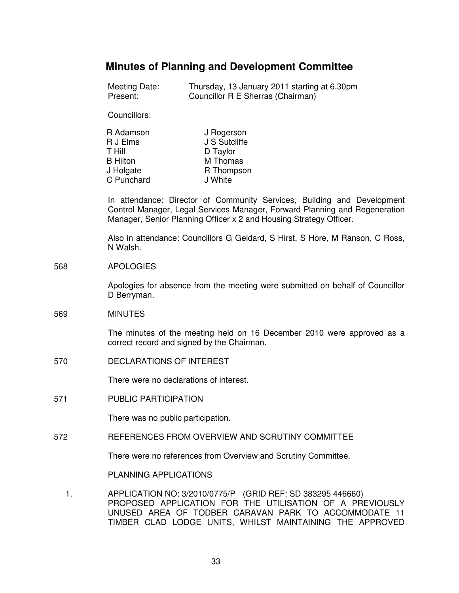# **Minutes of Planning and Development Committee**

| Meeting Date: | Thursday, 13 January 2011 starting at 6.30pm |
|---------------|----------------------------------------------|
| Present:      | Councillor R E Sherras (Chairman)            |

Councillors:

| R Adamson       | J Rogerson    |
|-----------------|---------------|
| R J Elms        | J S Sutcliffe |
| T Hill          | D Taylor      |
| <b>B</b> Hilton | M Thomas      |
| J Holgate       | R Thompson    |
| C Punchard      | J White       |

In attendance: Director of Community Services, Building and Development Control Manager, Legal Services Manager, Forward Planning and Regeneration Manager, Senior Planning Officer x 2 and Housing Strategy Officer.

Also in attendance: Councillors G Geldard, S Hirst, S Hore, M Ranson, C Ross, N Walsh.

### 568 APOLOGIES

Apologies for absence from the meeting were submitted on behalf of Councillor D Berryman.

### 569 MINUTES

The minutes of the meeting held on 16 December 2010 were approved as a correct record and signed by the Chairman.

570 DECLARATIONS OF INTEREST

There were no declarations of interest.

571 PUBLIC PARTICIPATION

There was no public participation.

572 REFERENCES FROM OVERVIEW AND SCRUTINY COMMITTEE

There were no references from Overview and Scrutiny Committee.

PLANNING APPLICATIONS

 1. APPLICATION NO: 3/2010/0775/P (GRID REF: SD 383295 446660) PROPOSED APPLICATION FOR THE UTILISATION OF A PREVIOUSLY UNUSED AREA OF TODBER CARAVAN PARK TO ACCOMMODATE 11 TIMBER CLAD LODGE UNITS, WHILST MAINTAINING THE APPROVED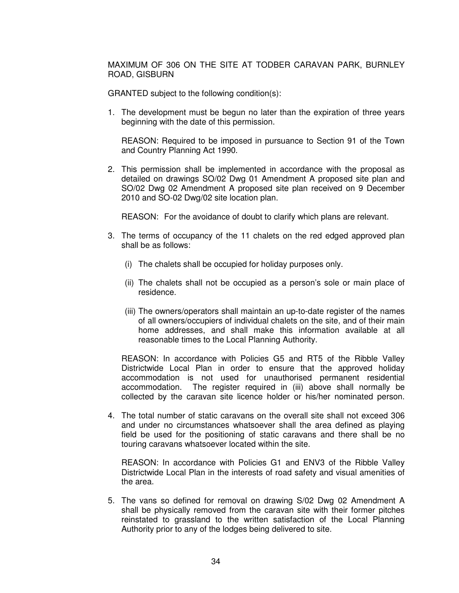MAXIMUM OF 306 ON THE SITE AT TODBER CARAVAN PARK, BURNLEY ROAD, GISBURN

GRANTED subject to the following condition(s):

1. The development must be begun no later than the expiration of three years beginning with the date of this permission.

 REASON: Required to be imposed in pursuance to Section 91 of the Town and Country Planning Act 1990.

2. This permission shall be implemented in accordance with the proposal as detailed on drawings SO/02 Dwg 01 Amendment A proposed site plan and SO/02 Dwg 02 Amendment A proposed site plan received on 9 December 2010 and SO-02 Dwg/02 site location plan.

REASON: For the avoidance of doubt to clarify which plans are relevant.

- 3. The terms of occupancy of the 11 chalets on the red edged approved plan shall be as follows:
	- (i) The chalets shall be occupied for holiday purposes only.
	- (ii) The chalets shall not be occupied as a person's sole or main place of residence.
	- (iii) The owners/operators shall maintain an up-to-date register of the names of all owners/occupiers of individual chalets on the site, and of their main home addresses, and shall make this information available at all reasonable times to the Local Planning Authority.

 REASON: In accordance with Policies G5 and RT5 of the Ribble Valley Districtwide Local Plan in order to ensure that the approved holiday accommodation is not used for unauthorised permanent residential accommodation. The register required in (iii) above shall normally be collected by the caravan site licence holder or his/her nominated person.

4. The total number of static caravans on the overall site shall not exceed 306 and under no circumstances whatsoever shall the area defined as playing field be used for the positioning of static caravans and there shall be no touring caravans whatsoever located within the site.

 REASON: In accordance with Policies G1 and ENV3 of the Ribble Valley Districtwide Local Plan in the interests of road safety and visual amenities of the area.

5. The vans so defined for removal on drawing S/02 Dwg 02 Amendment A shall be physically removed from the caravan site with their former pitches reinstated to grassland to the written satisfaction of the Local Planning Authority prior to any of the lodges being delivered to site.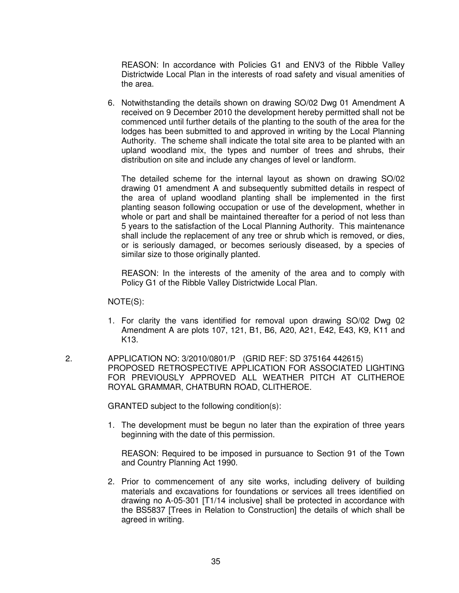REASON: In accordance with Policies G1 and ENV3 of the Ribble Valley Districtwide Local Plan in the interests of road safety and visual amenities of the area.

6. Notwithstanding the details shown on drawing SO/02 Dwg 01 Amendment A received on 9 December 2010 the development hereby permitted shall not be commenced until further details of the planting to the south of the area for the lodges has been submitted to and approved in writing by the Local Planning Authority. The scheme shall indicate the total site area to be planted with an upland woodland mix, the types and number of trees and shrubs, their distribution on site and include any changes of level or landform.

 The detailed scheme for the internal layout as shown on drawing SO/02 drawing 01 amendment A and subsequently submitted details in respect of the area of upland woodland planting shall be implemented in the first planting season following occupation or use of the development, whether in whole or part and shall be maintained thereafter for a period of not less than 5 years to the satisfaction of the Local Planning Authority. This maintenance shall include the replacement of any tree or shrub which is removed, or dies, or is seriously damaged, or becomes seriously diseased, by a species of similar size to those originally planted.

 REASON: In the interests of the amenity of the area and to comply with Policy G1 of the Ribble Valley Districtwide Local Plan.

NOTE(S):

- 1. For clarity the vans identified for removal upon drawing SO/02 Dwg 02 Amendment A are plots 107, 121, B1, B6, A20, A21, E42, E43, K9, K11 and K13.
- 2. APPLICATION NO: 3/2010/0801/P (GRID REF: SD 375164 442615) PROPOSED RETROSPECTIVE APPLICATION FOR ASSOCIATED LIGHTING FOR PREVIOUSLY APPROVED ALL WEATHER PITCH AT CLITHEROE ROYAL GRAMMAR, CHATBURN ROAD, CLITHEROE.

GRANTED subject to the following condition(s):

1. The development must be begun no later than the expiration of three years beginning with the date of this permission.

 REASON: Required to be imposed in pursuance to Section 91 of the Town and Country Planning Act 1990.

2. Prior to commencement of any site works, including delivery of building materials and excavations for foundations or services all trees identified on drawing no A-05-301 [T1/14 inclusive] shall be protected in accordance with the BS5837 [Trees in Relation to Construction] the details of which shall be agreed in writing.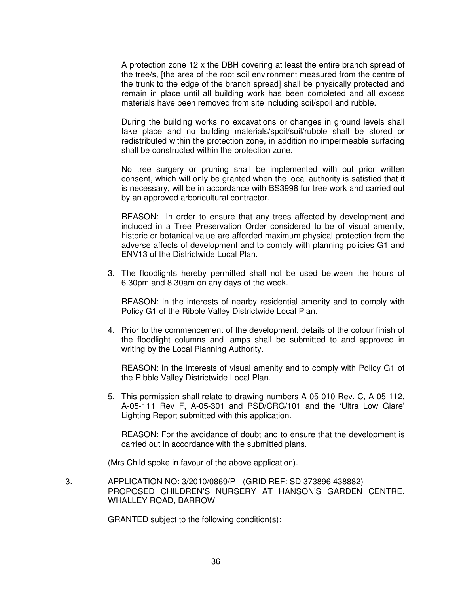A protection zone 12 x the DBH covering at least the entire branch spread of the tree/s, [the area of the root soil environment measured from the centre of the trunk to the edge of the branch spread] shall be physically protected and remain in place until all building work has been completed and all excess materials have been removed from site including soil/spoil and rubble.

 During the building works no excavations or changes in ground levels shall take place and no building materials/spoil/soil/rubble shall be stored or redistributed within the protection zone, in addition no impermeable surfacing shall be constructed within the protection zone.

 No tree surgery or pruning shall be implemented with out prior written consent, which will only be granted when the local authority is satisfied that it is necessary, will be in accordance with BS3998 for tree work and carried out by an approved arboricultural contractor.

 REASON: In order to ensure that any trees affected by development and included in a Tree Preservation Order considered to be of visual amenity, historic or botanical value are afforded maximum physical protection from the adverse affects of development and to comply with planning policies G1 and ENV13 of the Districtwide Local Plan.

3. The floodlights hereby permitted shall not be used between the hours of 6.30pm and 8.30am on any days of the week.

 REASON: In the interests of nearby residential amenity and to comply with Policy G1 of the Ribble Valley Districtwide Local Plan.

4. Prior to the commencement of the development, details of the colour finish of the floodlight columns and lamps shall be submitted to and approved in writing by the Local Planning Authority.

 REASON: In the interests of visual amenity and to comply with Policy G1 of the Ribble Valley Districtwide Local Plan.

5. This permission shall relate to drawing numbers A-05-010 Rev. C, A-05-112, A-05-111 Rev F, A-05-301 and PSD/CRG/101 and the 'Ultra Low Glare' Lighting Report submitted with this application.

 REASON: For the avoidance of doubt and to ensure that the development is carried out in accordance with the submitted plans.

(Mrs Child spoke in favour of the above application).

 3. APPLICATION NO: 3/2010/0869/P (GRID REF: SD 373896 438882) PROPOSED CHILDREN'S NURSERY AT HANSON'S GARDEN CENTRE, WHALLEY ROAD, BARROW

GRANTED subject to the following condition(s):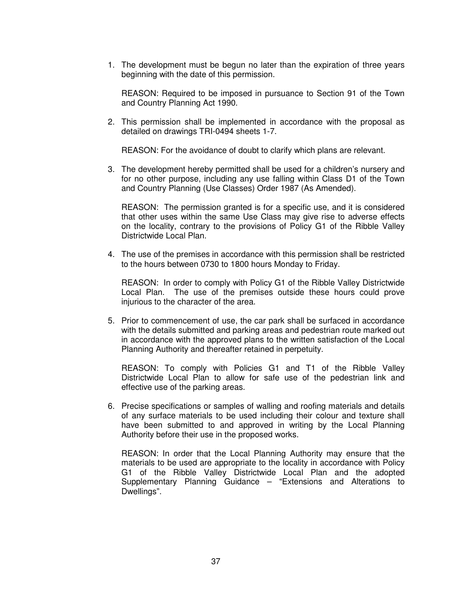1. The development must be begun no later than the expiration of three years beginning with the date of this permission.

 REASON: Required to be imposed in pursuance to Section 91 of the Town and Country Planning Act 1990.

2. This permission shall be implemented in accordance with the proposal as detailed on drawings TRI-0494 sheets 1-7.

REASON: For the avoidance of doubt to clarify which plans are relevant.

3. The development hereby permitted shall be used for a children's nursery and for no other purpose, including any use falling within Class D1 of the Town and Country Planning (Use Classes) Order 1987 (As Amended).

 REASON: The permission granted is for a specific use, and it is considered that other uses within the same Use Class may give rise to adverse effects on the locality, contrary to the provisions of Policy G1 of the Ribble Valley Districtwide Local Plan.

4. The use of the premises in accordance with this permission shall be restricted to the hours between 0730 to 1800 hours Monday to Friday.

 REASON: In order to comply with Policy G1 of the Ribble Valley Districtwide Local Plan. The use of the premises outside these hours could prove injurious to the character of the area.

5. Prior to commencement of use, the car park shall be surfaced in accordance with the details submitted and parking areas and pedestrian route marked out in accordance with the approved plans to the written satisfaction of the Local Planning Authority and thereafter retained in perpetuity.

 REASON: To comply with Policies G1 and T1 of the Ribble Valley Districtwide Local Plan to allow for safe use of the pedestrian link and effective use of the parking areas.

6. Precise specifications or samples of walling and roofing materials and details of any surface materials to be used including their colour and texture shall have been submitted to and approved in writing by the Local Planning Authority before their use in the proposed works.

 REASON: In order that the Local Planning Authority may ensure that the materials to be used are appropriate to the locality in accordance with Policy G1 of the Ribble Valley Districtwide Local Plan and the adopted Supplementary Planning Guidance – "Extensions and Alterations to Dwellings".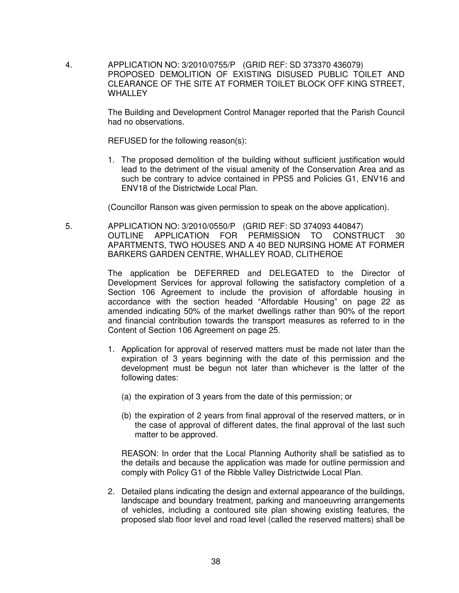4. APPLICATION NO: 3/2010/0755/P (GRID REF: SD 373370 436079) PROPOSED DEMOLITION OF EXISTING DISUSED PUBLIC TOILET AND CLEARANCE OF THE SITE AT FORMER TOILET BLOCK OFF KING STREET, **WHALLEY** 

> The Building and Development Control Manager reported that the Parish Council had no observations.

REFUSED for the following reason(s):

1. The proposed demolition of the building without sufficient justification would lead to the detriment of the visual amenity of the Conservation Area and as such be contrary to advice contained in PPS5 and Policies G1, ENV16 and ENV18 of the Districtwide Local Plan.

(Councillor Ranson was given permission to speak on the above application).

 5. APPLICATION NO: 3/2010/0550/P (GRID REF: SD 374093 440847) OUTLINE APPLICATION FOR PERMISSION TO CONSTRUCT 30 APARTMENTS, TWO HOUSES AND A 40 BED NURSING HOME AT FORMER BARKERS GARDEN CENTRE, WHALLEY ROAD, CLITHEROE

> The application be DEFERRED and DELEGATED to the Director of Development Services for approval following the satisfactory completion of a Section 106 Agreement to include the provision of affordable housing in accordance with the section headed "Affordable Housing" on page 22 as amended indicating 50% of the market dwellings rather than 90% of the report and financial contribution towards the transport measures as referred to in the Content of Section 106 Agreement on page 25.

- 1. Application for approval of reserved matters must be made not later than the expiration of 3 years beginning with the date of this permission and the development must be begun not later than whichever is the latter of the following dates:
	- (a) the expiration of 3 years from the date of this permission; or
	- (b) the expiration of 2 years from final approval of the reserved matters, or in the case of approval of different dates, the final approval of the last such matter to be approved.

 REASON: In order that the Local Planning Authority shall be satisfied as to the details and because the application was made for outline permission and comply with Policy G1 of the Ribble Valley Districtwide Local Plan.

2. Detailed plans indicating the design and external appearance of the buildings, landscape and boundary treatment, parking and manoeuvring arrangements of vehicles, including a contoured site plan showing existing features, the proposed slab floor level and road level (called the reserved matters) shall be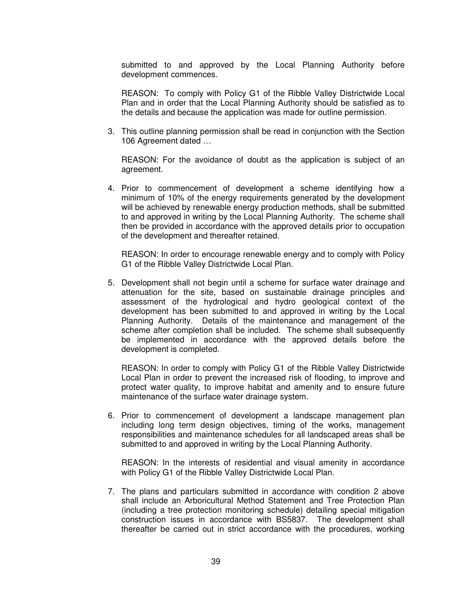submitted to and approved by the Local Planning Authority before development commences.

REASON: To comply with Policy G1 of the Ribble Valley Districtwide Local Plan and in order that the Local Planning Authority should be satisfied as to the details and because the application was made for outline permission.

3. This outline planning permission shall be read in conjunction with the Section 106 Agreement dated …

 REASON: For the avoidance of doubt as the application is subject of an agreement.

4. Prior to commencement of development a scheme identifying how a minimum of 10% of the energy requirements generated by the development will be achieved by renewable energy production methods, shall be submitted to and approved in writing by the Local Planning Authority. The scheme shall then be provided in accordance with the approved details prior to occupation of the development and thereafter retained.

 REASON: In order to encourage renewable energy and to comply with Policy G1 of the Ribble Valley Districtwide Local Plan.

5. Development shall not begin until a scheme for surface water drainage and attenuation for the site, based on sustainable drainage principles and assessment of the hydrological and hydro geological context of the development has been submitted to and approved in writing by the Local Planning Authority. Details of the maintenance and management of the scheme after completion shall be included. The scheme shall subsequently be implemented in accordance with the approved details before the development is completed.

 REASON: In order to comply with Policy G1 of the Ribble Valley Districtwide Local Plan in order to prevent the increased risk of flooding, to improve and protect water quality, to improve habitat and amenity and to ensure future maintenance of the surface water drainage system.

6. Prior to commencement of development a landscape management plan including long term design objectives, timing of the works, management responsibilities and maintenance schedules for all landscaped areas shall be submitted to and approved in writing by the Local Planning Authority.

 REASON: In the interests of residential and visual amenity in accordance with Policy G1 of the Ribble Valley Districtwide Local Plan.

7. The plans and particulars submitted in accordance with condition 2 above shall include an Arboricultural Method Statement and Tree Protection Plan (including a tree protection monitoring schedule) detailing special mitigation construction issues in accordance with BS5837. The development shall thereafter be carried out in strict accordance with the procedures, working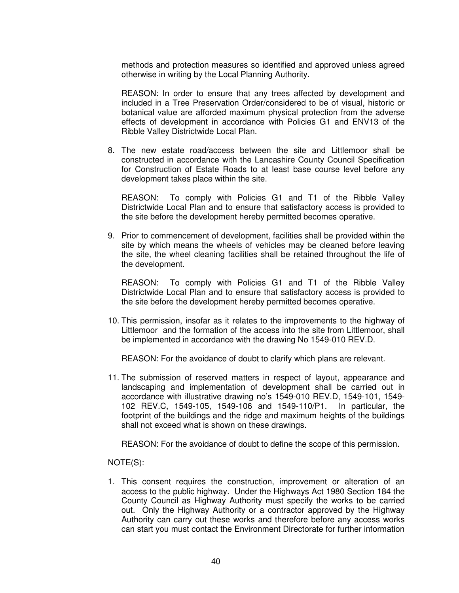methods and protection measures so identified and approved unless agreed otherwise in writing by the Local Planning Authority.

 REASON: In order to ensure that any trees affected by development and included in a Tree Preservation Order/considered to be of visual, historic or botanical value are afforded maximum physical protection from the adverse effects of development in accordance with Policies G1 and ENV13 of the Ribble Valley Districtwide Local Plan.

8. The new estate road/access between the site and Littlemoor shall be constructed in accordance with the Lancashire County Council Specification for Construction of Estate Roads to at least base course level before any development takes place within the site.

 REASON: To comply with Policies G1 and T1 of the Ribble Valley Districtwide Local Plan and to ensure that satisfactory access is provided to the site before the development hereby permitted becomes operative.

9. Prior to commencement of development, facilities shall be provided within the site by which means the wheels of vehicles may be cleaned before leaving the site, the wheel cleaning facilities shall be retained throughout the life of the development.

 REASON: To comply with Policies G1 and T1 of the Ribble Valley Districtwide Local Plan and to ensure that satisfactory access is provided to the site before the development hereby permitted becomes operative.

10. This permission, insofar as it relates to the improvements to the highway of Littlemoor and the formation of the access into the site from Littlemoor, shall be implemented in accordance with the drawing No 1549-010 REV.D.

REASON: For the avoidance of doubt to clarify which plans are relevant.

11. The submission of reserved matters in respect of layout, appearance and landscaping and implementation of development shall be carried out in accordance with illustrative drawing no's 1549-010 REV.D, 1549-101, 1549- 102 REV.C, 1549-105, 1549-106 and 1549-110/P1. In particular, the footprint of the buildings and the ridge and maximum heights of the buildings shall not exceed what is shown on these drawings.

REASON: For the avoidance of doubt to define the scope of this permission.

NOTE(S):

1. This consent requires the construction, improvement or alteration of an access to the public highway. Under the Highways Act 1980 Section 184 the County Council as Highway Authority must specify the works to be carried out. Only the Highway Authority or a contractor approved by the Highway Authority can carry out these works and therefore before any access works can start you must contact the Environment Directorate for further information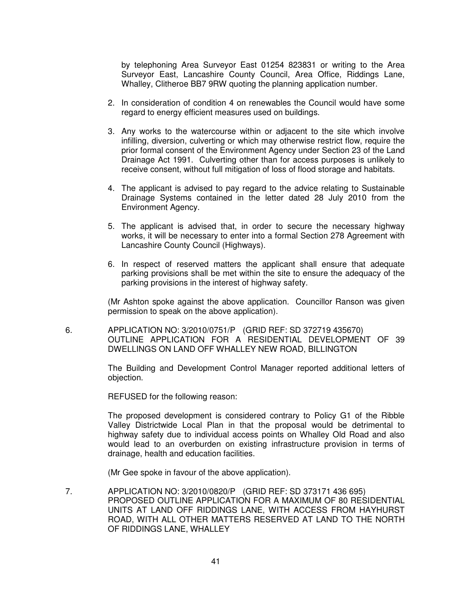by telephoning Area Surveyor East 01254 823831 or writing to the Area Surveyor East, Lancashire County Council, Area Office, Riddings Lane, Whalley, Clitheroe BB7 9RW quoting the planning application number.

- 2. In consideration of condition 4 on renewables the Council would have some regard to energy efficient measures used on buildings.
- 3. Any works to the watercourse within or adjacent to the site which involve infilling, diversion, culverting or which may otherwise restrict flow, require the prior formal consent of the Environment Agency under Section 23 of the Land Drainage Act 1991. Culverting other than for access purposes is unlikely to receive consent, without full mitigation of loss of flood storage and habitats.
- 4. The applicant is advised to pay regard to the advice relating to Sustainable Drainage Systems contained in the letter dated 28 July 2010 from the Environment Agency.
- 5. The applicant is advised that, in order to secure the necessary highway works, it will be necessary to enter into a formal Section 278 Agreement with Lancashire County Council (Highways).
- 6. In respect of reserved matters the applicant shall ensure that adequate parking provisions shall be met within the site to ensure the adequacy of the parking provisions in the interest of highway safety.

(Mr Ashton spoke against the above application. Councillor Ranson was given permission to speak on the above application).

 6. APPLICATION NO: 3/2010/0751/P (GRID REF: SD 372719 435670) OUTLINE APPLICATION FOR A RESIDENTIAL DEVELOPMENT OF 39 DWELLINGS ON LAND OFF WHALLEY NEW ROAD, BILLINGTON

> The Building and Development Control Manager reported additional letters of objection.

REFUSED for the following reason:

The proposed development is considered contrary to Policy G1 of the Ribble Valley Districtwide Local Plan in that the proposal would be detrimental to highway safety due to individual access points on Whalley Old Road and also would lead to an overburden on existing infrastructure provision in terms of drainage, health and education facilities.

(Mr Gee spoke in favour of the above application).

 7. APPLICATION NO: 3/2010/0820/P (GRID REF: SD 373171 436 695) PROPOSED OUTLINE APPLICATION FOR A MAXIMUM OF 80 RESIDENTIAL UNITS AT LAND OFF RIDDINGS LANE, WITH ACCESS FROM HAYHURST ROAD, WITH ALL OTHER MATTERS RESERVED AT LAND TO THE NORTH OF RIDDINGS LANE, WHALLEY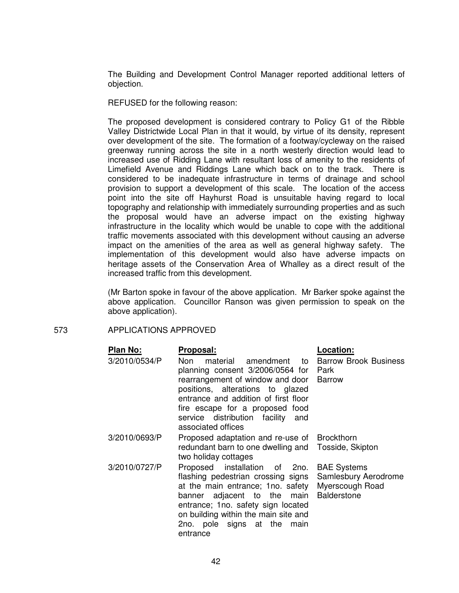The Building and Development Control Manager reported additional letters of objection.

REFUSED for the following reason:

The proposed development is considered contrary to Policy G1 of the Ribble Valley Districtwide Local Plan in that it would, by virtue of its density, represent over development of the site. The formation of a footway/cycleway on the raised greenway running across the site in a north westerly direction would lead to increased use of Ridding Lane with resultant loss of amenity to the residents of Limefield Avenue and Riddings Lane which back on to the track. There is considered to be inadequate infrastructure in terms of drainage and school provision to support a development of this scale. The location of the access point into the site off Hayhurst Road is unsuitable having regard to local topography and relationship with immediately surrounding properties and as such the proposal would have an adverse impact on the existing highway infrastructure in the locality which would be unable to cope with the additional traffic movements associated with this development without causing an adverse impact on the amenities of the area as well as general highway safety. The implementation of this development would also have adverse impacts on heritage assets of the Conservation Area of Whalley as a direct result of the increased traffic from this development.

(Mr Barton spoke in favour of the above application. Mr Barker spoke against the above application. Councillor Ranson was given permission to speak on the above application).

### 573 APPLICATIONS APPROVED

| Plan No:      | Proposal:                                                                                                                                                                                                                                                                                                 | <b>Location:</b>                   |
|---------------|-----------------------------------------------------------------------------------------------------------------------------------------------------------------------------------------------------------------------------------------------------------------------------------------------------------|------------------------------------|
| 3/2010/0534/P | Non<br>material<br>planning consent 3/2006/0564 for Park                                                                                                                                                                                                                                                  | amendment to Barrow Brook Business |
|               | rearrangement of window and door Barrow<br>positions, alterations to glazed<br>entrance and addition of first floor<br>fire escape for a proposed food<br>service distribution facility and<br>associated offices                                                                                         |                                    |
| 3/2010/0693/P | Proposed adaptation and re-use of Brockthorn<br>redundant barn to one dwelling and Tosside, Skipton<br>two holiday cottages                                                                                                                                                                               |                                    |
| 3/2010/0727/P | Proposed installation of 2no. BAE Systems<br>flashing pedestrian crossing signs<br>at the main entrance; 1no. safety Myerscough Road<br>banner adjacent to the main Balderstone<br>entrance; 1 no. safety sign located<br>on building within the main site and<br>2no. pole signs at the main<br>entrance | Samlesbury Aerodrome               |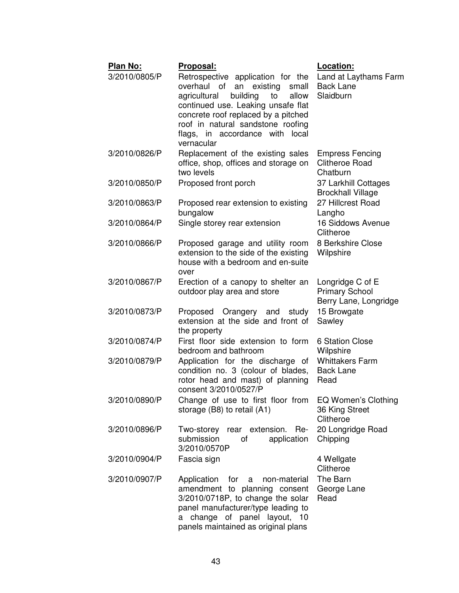| Plan No:      | Proposal:                                                                                                                                                                                                                                                                              | Location:                                                          |
|---------------|----------------------------------------------------------------------------------------------------------------------------------------------------------------------------------------------------------------------------------------------------------------------------------------|--------------------------------------------------------------------|
| 3/2010/0805/P | Retrospective application for the<br>overhaul of<br>an existing<br>small<br>agricultural<br>building<br>allow<br>to<br>continued use. Leaking unsafe flat<br>concrete roof replaced by a pitched<br>roof in natural sandstone roofing<br>flags, in accordance with local<br>vernacular | Land at Laythams Farm<br><b>Back Lane</b><br>Slaidburn             |
| 3/2010/0826/P | Replacement of the existing sales<br>office, shop, offices and storage on<br>two levels                                                                                                                                                                                                | <b>Empress Fencing</b><br><b>Clitheroe Road</b><br>Chatburn        |
| 3/2010/0850/P | Proposed front porch                                                                                                                                                                                                                                                                   | 37 Larkhill Cottages<br><b>Brockhall Village</b>                   |
| 3/2010/0863/P | Proposed rear extension to existing<br>bungalow                                                                                                                                                                                                                                        | 27 Hillcrest Road<br>Langho                                        |
| 3/2010/0864/P | Single storey rear extension                                                                                                                                                                                                                                                           | 16 Siddows Avenue<br>Clitheroe                                     |
| 3/2010/0866/P | Proposed garage and utility room<br>extension to the side of the existing<br>house with a bedroom and en-suite<br>over                                                                                                                                                                 | 8 Berkshire Close<br>Wilpshire                                     |
| 3/2010/0867/P | Erection of a canopy to shelter an<br>outdoor play area and store                                                                                                                                                                                                                      | Longridge C of E<br><b>Primary School</b><br>Berry Lane, Longridge |
| 3/2010/0873/P | Proposed Orangery and<br>study<br>extension at the side and front of<br>the property                                                                                                                                                                                                   | 15 Browgate<br>Sawley                                              |
| 3/2010/0874/P | First floor side extension to form<br>bedroom and bathroom                                                                                                                                                                                                                             | <b>6 Station Close</b><br>Wilpshire                                |
| 3/2010/0879/P | Application for the discharge of<br>condition no. 3 (colour of blades,<br>rotor head and mast) of planning<br>consent 3/2010/0527/P                                                                                                                                                    | <b>Whittakers Farm</b><br><b>Back Lane</b><br>Read                 |
| 3/2010/0890/P | Change of use to first floor from<br>storage (B8) to retail (A1)                                                                                                                                                                                                                       | <b>EQ Women's Clothing</b><br>36 King Street<br>Clitheroe          |
| 3/2010/0896/P | Two-storey rear extension. Re-<br>submission<br>application<br>οf<br>3/2010/0570P                                                                                                                                                                                                      | 20 Longridge Road<br>Chipping                                      |
| 3/2010/0904/P | Fascia sign                                                                                                                                                                                                                                                                            | 4 Wellgate<br>Clitheroe                                            |
| 3/2010/0907/P | Application<br>for a<br>non-material<br>amendment to planning consent<br>3/2010/0718P, to change the solar<br>panel manufacturer/type leading to<br>a change of panel layout, 10<br>panels maintained as original plans                                                                | The Barn<br>George Lane<br>Read                                    |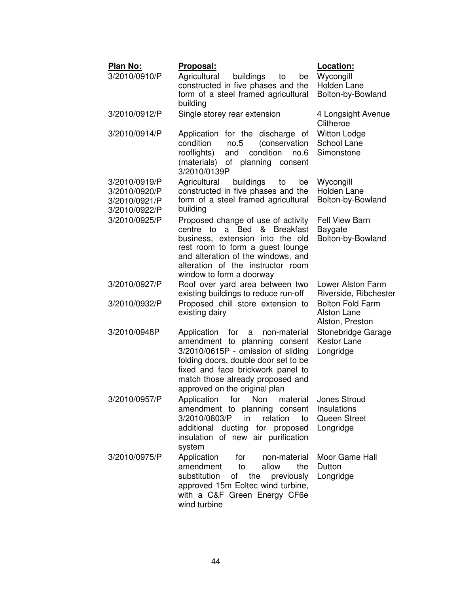| Plan No:<br>3/2010/0910/P                                        | <u> Proposal:</u><br>Agricultural<br>buildings<br>to<br>be<br>constructed in five phases and the<br>form of a steel framed agricultural<br>building                                                                                                              | Location:<br>Wycongill<br>Holden Lane<br>Bolton-by-Bowland                                  |
|------------------------------------------------------------------|------------------------------------------------------------------------------------------------------------------------------------------------------------------------------------------------------------------------------------------------------------------|---------------------------------------------------------------------------------------------|
| 3/2010/0912/P                                                    | Single storey rear extension                                                                                                                                                                                                                                     | 4 Longsight Avenue<br>Clitheroe                                                             |
| 3/2010/0914/P                                                    | Application for the discharge of<br>condition<br>(conservation<br>no.5<br>condition<br>rooflights)<br>and<br>no.6<br>(materials)<br>of planning consent<br>3/2010/0139P                                                                                          | <b>Witton Lodge</b><br>School Lane<br>Simonstone                                            |
| 3/2010/0919/P<br>3/2010/0920/P<br>3/2010/0921/P<br>3/2010/0922/P | Agricultural<br>buildings<br>be<br>to<br>constructed in five phases and the<br>form of a steel framed agricultural<br>building                                                                                                                                   | Wycongill<br>Holden Lane<br>Bolton-by-Bowland                                               |
| 3/2010/0925/P                                                    | Proposed change of use of activity<br>centre to a Bed & Breakfast<br>business, extension into the old<br>rest room to form a guest lounge<br>and alteration of the windows, and<br>alteration of the instructor room<br>window to form a doorway                 | Fell View Barn<br><b>Baygate</b><br>Bolton-by-Bowland                                       |
| 3/2010/0927/P<br>3/2010/0932/P                                   | Roof over yard area between two<br>existing buildings to reduce run-off<br>Proposed chill store extension to<br>existing dairy                                                                                                                                   | Lower Alston Farm<br>Riverside, Ribchester<br><b>Bolton Fold Farm</b><br><b>Alston Lane</b> |
| 3/2010/0948P                                                     | Application<br>for<br>non-material<br>a<br>amendment to planning consent<br>3/2010/0615P - omission of sliding<br>folding doors, double door set to be<br>fixed and face brickwork panel to<br>match those already proposed and<br>approved on the original plan | Alston, Preston<br>Stonebridge Garage<br><b>Kestor Lane</b><br>Longridge                    |
| 3/2010/0957/P                                                    | Application<br>Non<br>material<br>for<br>amendment to planning consent<br>3/2010/0803/P<br>relation<br>in<br>to<br>additional ducting for proposed<br>insulation of new air purification<br>system                                                               | Jones Stroud<br>Insulations<br>Queen Street<br>Longridge                                    |
| 3/2010/0975/P                                                    | Application<br>for<br>non-material<br>amendment<br>to<br>allow<br>the<br>substitution<br>of the previously<br>approved 15m Eoltec wind turbine,<br>with a C&F Green Energy CF6e<br>wind turbine                                                                  | Moor Game Hall<br>Dutton<br>Longridge                                                       |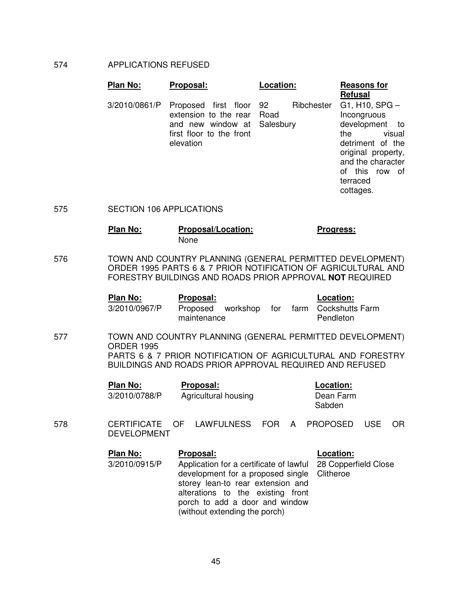#### 574 APPLICATIONS REFUSED

| <b>Plan No:</b> | Proposal:                                                                                                                     | Location:  | <b>Reasons for</b><br><b>Refusal</b>                                                                                                                               |
|-----------------|-------------------------------------------------------------------------------------------------------------------------------|------------|--------------------------------------------------------------------------------------------------------------------------------------------------------------------|
| 3/2010/0861/P   | Proposed first floor 92<br>extension to the rear Road<br>and new window at Salesbury<br>first floor to the front<br>elevation | Ribchester | $G1, H10, SPG -$<br>Incongruous<br>development to<br>visual<br>the<br>detriment of the<br>original property,<br>and the character<br>this row of<br>Ωf<br>terraced |

cottages.

575 SECTION 106 APPLICATIONS

## **Plan No: Proposal/Location: Progress:** None

576 TOWN AND COUNTRY PLANNING (GENERAL PERMITTED DEVELOPMENT) ORDER 1995 PARTS 6 & 7 PRIOR NOTIFICATION OF AGRICULTURAL AND FORESTRY BUILDINGS AND ROADS PRIOR APPROVAL **NOT** REQUIRED

| Plan No:      | <b>Proposal:</b> |                   |  | Location:                             |
|---------------|------------------|-------------------|--|---------------------------------------|
| 3/2010/0967/P | maintenance      | Proposed workshop |  | for farm Cockshutts Farm<br>Pendleton |

577 TOWN AND COUNTRY PLANNING (GENERAL PERMITTED DEVELOPMENT) ORDER 1995 PARTS 6 & 7 PRIOR NOTIFICATION OF AGRICULTURAL AND FORESTRY BUILDINGS AND ROADS PRIOR APPROVAL REQUIRED AND REFUSED

| Plan No:      | Proposal:            | Location:           |
|---------------|----------------------|---------------------|
| 3/2010/0788/P | Agricultural housing | Dean Farm<br>Sabden |

578 CERTIFICATE OF LAWFULNESS FOR A PROPOSED USE OR DEVELOPMENT

| <b>Plan No:</b> | Proposal:                                                                                                                                                                                                                                                | Location: |
|-----------------|----------------------------------------------------------------------------------------------------------------------------------------------------------------------------------------------------------------------------------------------------------|-----------|
| 3/2010/0915/P   | Application for a certificate of lawful 28 Copperfield Close<br>development for a proposed single Clitheroe<br>storey lean-to rear extension and<br>alterations to the existing front<br>porch to add a door and window<br>(without extending the porch) |           |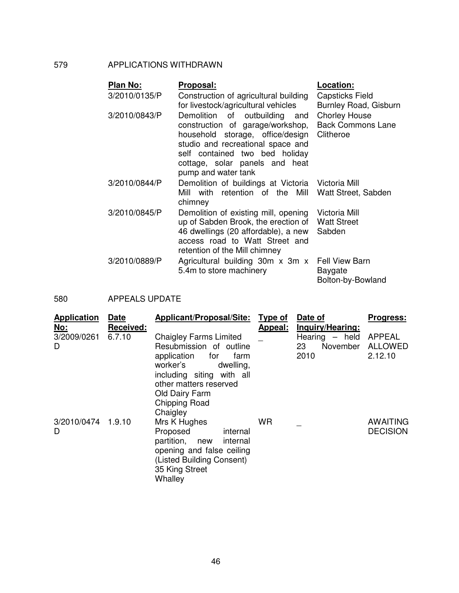## 579 APPLICATIONS WITHDRAWN

| Plan No:      | Proposal:                                                                                                                                                                                                                                | Location:                                                     |
|---------------|------------------------------------------------------------------------------------------------------------------------------------------------------------------------------------------------------------------------------------------|---------------------------------------------------------------|
| 3/2010/0135/P | Construction of agricultural building<br>for livestock/agricultural vehicles                                                                                                                                                             | <b>Capsticks Field</b><br>Burnley Road, Gisburn               |
| 3/2010/0843/P | Demolition<br>of outbuilding and<br>construction of garage/workshop,<br>household storage, office/design<br>studio and recreational space and<br>self contained two bed holiday<br>cottage, solar panels and heat<br>pump and water tank | <b>Chorley House</b><br><b>Back Commons Lane</b><br>Clitheroe |
| 3/2010/0844/P | Demolition of buildings at Victoria Victoria Mill<br>Mill with retention of the<br>Mill<br>chimney                                                                                                                                       | Watt Street, Sabden                                           |
| 3/2010/0845/P | Demolition of existing mill, opening<br>up of Sabden Brook, the erection of<br>46 dwellings (20 affordable), a new<br>access road to Watt Street and<br>retention of the Mill chimney                                                    | Victoria Mill<br><b>Watt Street</b><br>Sabden                 |
| 3/2010/0889/P | Agricultural building 30m x 3m x<br>5.4m to store machinery                                                                                                                                                                              | <b>Fell View Barn</b><br>Baygate<br>Bolton-by-Bowland         |

580 APPEALS UPDATE

| <b>Application</b><br><u>No:</u> | <b>Date</b><br><b>Received:</b> | <b>Applicant/Proposal/Site:</b>                                                                                                                                                   | Type of<br>Appeal: | Date of<br>Inquiry/Hearing: | <b>Progress:</b>                   |
|----------------------------------|---------------------------------|-----------------------------------------------------------------------------------------------------------------------------------------------------------------------------------|--------------------|-----------------------------|------------------------------------|
| 3/2009/0261                      | 6.7.10                          | <b>Chaigley Farms Limited</b>                                                                                                                                                     |                    | Hearing $-$ held            | <b>APPEAL</b>                      |
| D                                |                                 | Resubmission of outline<br>application for<br>farm<br>worker's<br>dwelling,<br>including siting with all<br>other matters reserved<br>Old Dairy Farm<br>Chipping Road<br>Chaigley |                    | November<br>23<br>2010      | <b>ALLOWED</b><br>2.12.10          |
| 3/2010/0474 1.9.10<br>D          |                                 | Mrs K Hughes<br>Proposed<br>internal<br>partition, new<br>internal<br>opening and false ceiling<br>(Listed Building Consent)<br>35 King Street<br>Whalley                         | <b>WR</b>          |                             | <b>AWAITING</b><br><b>DECISION</b> |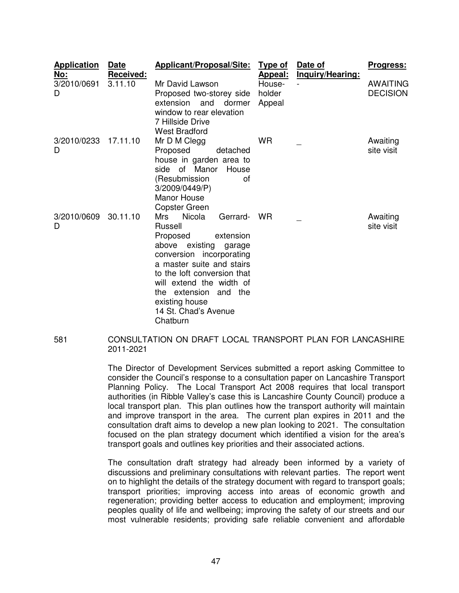| <b>Application</b><br><u>No:</u> | <b>Date</b><br>Received: | Applicant/Proposal/Site:                                                                                                                                                                                                                                                                                          | Type of<br>Appeal:         | Date of<br>Inquiry/Hearing: | <b>Progress:</b>                   |
|----------------------------------|--------------------------|-------------------------------------------------------------------------------------------------------------------------------------------------------------------------------------------------------------------------------------------------------------------------------------------------------------------|----------------------------|-----------------------------|------------------------------------|
| 3/2010/0691<br>D                 | 3.11.10                  | Mr David Lawson<br>Proposed two-storey side<br>extension<br>and<br>dormer<br>window to rear elevation<br>7 Hillside Drive<br><b>West Bradford</b>                                                                                                                                                                 | House-<br>holder<br>Appeal |                             | <b>AWAITING</b><br><b>DECISION</b> |
| 3/2010/0233<br>D                 | 17.11.10                 | Mr D M Clegg<br>Proposed<br>detached<br>house in garden area to<br>side of Manor<br>House<br>(Resubmission<br>οf<br>3/2009/0449/P)<br><b>Manor House</b><br><b>Copster Green</b>                                                                                                                                  | <b>WR</b>                  |                             | Awaiting<br>site visit             |
| 3/2010/0609<br>D                 | 30.11.10                 | <b>Nicola</b><br>Mrs<br>Gerrard-<br><b>Russell</b><br>extension<br>Proposed<br>above existing<br>garage<br>conversion incorporating<br>a master suite and stairs<br>to the loft conversion that<br>will extend the width of<br>extension<br>and the<br>the.<br>existing house<br>14 St. Chad's Avenue<br>Chatburn | <b>WR</b>                  |                             | Awaiting<br>site visit             |

581 CONSULTATION ON DRAFT LOCAL TRANSPORT PLAN FOR LANCASHIRE 2011-2021

> The Director of Development Services submitted a report asking Committee to consider the Council's response to a consultation paper on Lancashire Transport Planning Policy. The Local Transport Act 2008 requires that local transport authorities (in Ribble Valley's case this is Lancashire County Council) produce a local transport plan. This plan outlines how the transport authority will maintain and improve transport in the area. The current plan expires in 2011 and the consultation draft aims to develop a new plan looking to 2021. The consultation focused on the plan strategy document which identified a vision for the area's transport goals and outlines key priorities and their associated actions.

> The consultation draft strategy had already been informed by a variety of discussions and preliminary consultations with relevant parties. The report went on to highlight the details of the strategy document with regard to transport goals; transport priorities; improving access into areas of economic growth and regeneration; providing better access to education and employment; improving peoples quality of life and wellbeing; improving the safety of our streets and our most vulnerable residents; providing safe reliable convenient and affordable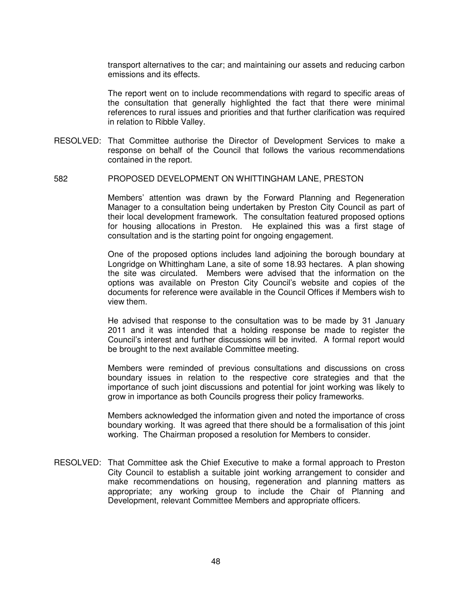transport alternatives to the car; and maintaining our assets and reducing carbon emissions and its effects.

The report went on to include recommendations with regard to specific areas of the consultation that generally highlighted the fact that there were minimal references to rural issues and priorities and that further clarification was required in relation to Ribble Valley.

RESOLVED: That Committee authorise the Director of Development Services to make a response on behalf of the Council that follows the various recommendations contained in the report.

#### 582 PROPOSED DEVELOPMENT ON WHITTINGHAM LANE, PRESTON

Members' attention was drawn by the Forward Planning and Regeneration Manager to a consultation being undertaken by Preston City Council as part of their local development framework. The consultation featured proposed options for housing allocations in Preston. He explained this was a first stage of consultation and is the starting point for ongoing engagement.

One of the proposed options includes land adjoining the borough boundary at Longridge on Whittingham Lane, a site of some 18.93 hectares. A plan showing the site was circulated. Members were advised that the information on the options was available on Preston City Council's website and copies of the documents for reference were available in the Council Offices if Members wish to view them.

He advised that response to the consultation was to be made by 31 January 2011 and it was intended that a holding response be made to register the Council's interest and further discussions will be invited. A formal report would be brought to the next available Committee meeting.

Members were reminded of previous consultations and discussions on cross boundary issues in relation to the respective core strategies and that the importance of such joint discussions and potential for joint working was likely to grow in importance as both Councils progress their policy frameworks.

Members acknowledged the information given and noted the importance of cross boundary working. It was agreed that there should be a formalisation of this joint working. The Chairman proposed a resolution for Members to consider.

RESOLVED: That Committee ask the Chief Executive to make a formal approach to Preston City Council to establish a suitable joint working arrangement to consider and make recommendations on housing, regeneration and planning matters as appropriate; any working group to include the Chair of Planning and Development, relevant Committee Members and appropriate officers.